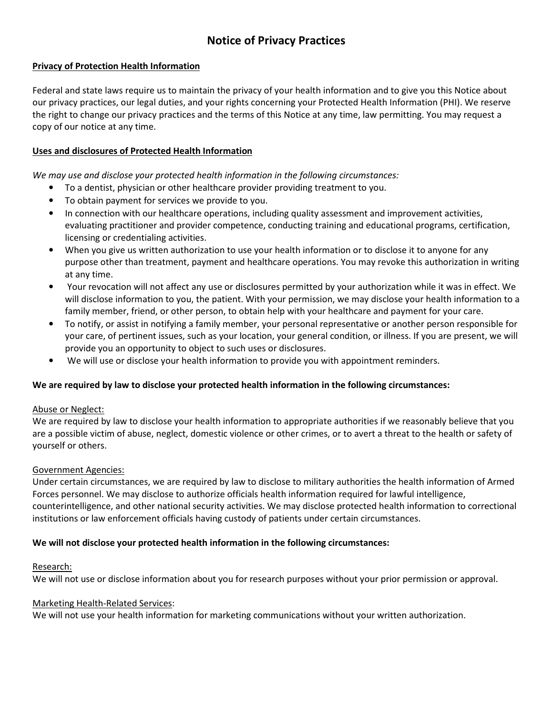# Notice of Privacy Practices

### Privacy of Protection Health Information

Federal and state laws require us to maintain the privacy of your health information and to give you this Notice about our privacy practices, our legal duties, and your rights concerning your Protected Health Information (PHI). We reserve the right to change our privacy practices and the terms of this Notice at any time, law permitting. You may request a copy of our notice at any time.

### Uses and disclosures of Protected Health Information

We may use and disclose your protected health information in the following circumstances:

- To a dentist, physician or other healthcare provider providing treatment to you.
- To obtain payment for services we provide to you.
- In connection with our healthcare operations, including quality assessment and improvement activities, evaluating practitioner and provider competence, conducting training and educational programs, certification, licensing or credentialing activities.
- When you give us written authorization to use your health information or to disclose it to anyone for any purpose other than treatment, payment and healthcare operations. You may revoke this authorization in writing at any time.
- Your revocation will not affect any use or disclosures permitted by your authorization while it was in effect. We will disclose information to you, the patient. With your permission, we may disclose your health information to a family member, friend, or other person, to obtain help with your healthcare and payment for your care.
- To notify, or assist in notifying a family member, your personal representative or another person responsible for your care, of pertinent issues, such as your location, your general condition, or illness. If you are present, we will provide you an opportunity to object to such uses or disclosures.
- We will use or disclose your health information to provide you with appointment reminders.

#### We are required by law to disclose your protected health information in the following circumstances:

#### Abuse or Neglect:

We are required by law to disclose your health information to appropriate authorities if we reasonably believe that you are a possible victim of abuse, neglect, domestic violence or other crimes, or to avert a threat to the health or safety of yourself or others.

#### Government Agencies:

Under certain circumstances, we are required by law to disclose to military authorities the health information of Armed Forces personnel. We may disclose to authorize officials health information required for lawful intelligence, counterintelligence, and other national security activities. We may disclose protected health information to correctional institutions or law enforcement officials having custody of patients under certain circumstances.

#### We will not disclose your protected health information in the following circumstances:

#### Research:

We will not use or disclose information about you for research purposes without your prior permission or approval.

#### Marketing Health-Related Services:

We will not use your health information for marketing communications without your written authorization.